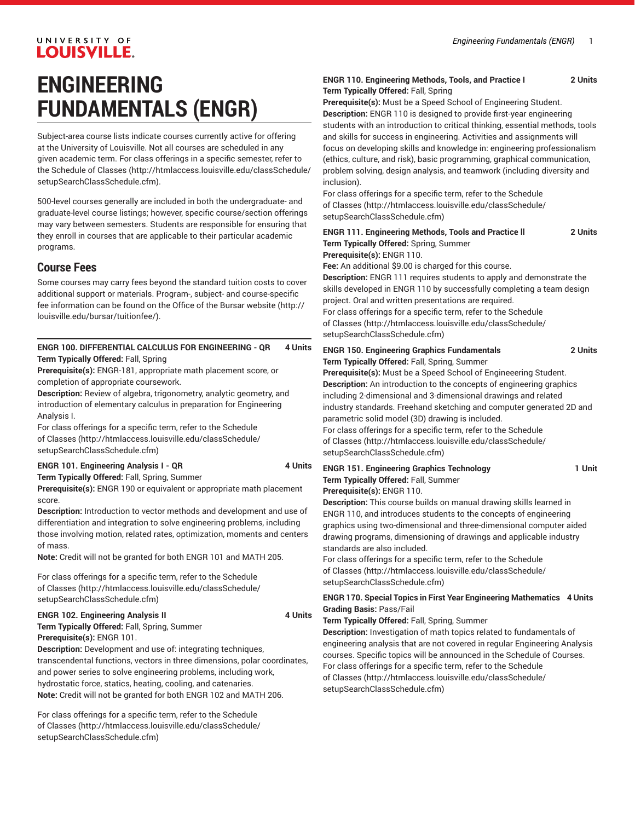# UNIVERSITY OF **LOUISVILLE.**

# **ENGINEERING FUNDAMENTALS (ENGR)**

Subject-area course lists indicate courses currently active for offering at the University of Louisville. Not all courses are scheduled in any given academic term. For class offerings in a specific semester, refer to the [Schedule of Classes](http://htmlaccess.louisville.edu/classSchedule/setupSearchClassSchedule.cfm) ([http://htmlaccess.louisville.edu/classSchedule/](http://htmlaccess.louisville.edu/classSchedule/setupSearchClassSchedule.cfm) [setupSearchClassSchedule.cfm\)](http://htmlaccess.louisville.edu/classSchedule/setupSearchClassSchedule.cfm).

500-level courses generally are included in both the undergraduate- and graduate-level course listings; however, specific course/section offerings may vary between semesters. Students are responsible for ensuring that they enroll in courses that are applicable to their particular academic programs.

# **Course Fees**

Some courses may carry fees beyond the standard tuition costs to cover additional support or materials. Program-, subject- and course-specific fee information can be found on the [Office of the Bursar website](http://louisville.edu/bursar/tuitionfee/) ([http://](http://louisville.edu/bursar/tuitionfee/) [louisville.edu/bursar/tuitionfee/](http://louisville.edu/bursar/tuitionfee/)).

# **ENGR 100. DIFFERENTIAL CALCULUS FOR ENGINEERING - QR 4 Units Term Typically Offered:** Fall, Spring

**Prerequisite(s):** ENGR-181, appropriate math placement score, or completion of appropriate coursework.

**Description:** Review of algebra, trigonometry, analytic geometry, and introduction of elementary calculus in preparation for Engineering Analysis I.

For class offerings for a specific term, refer to the [Schedule](http://htmlaccess.louisville.edu/classSchedule/setupSearchClassSchedule.cfm) [of Classes \(http://htmlaccess.louisville.edu/classSchedule/](http://htmlaccess.louisville.edu/classSchedule/setupSearchClassSchedule.cfm) [setupSearchClassSchedule.cfm\)](http://htmlaccess.louisville.edu/classSchedule/setupSearchClassSchedule.cfm)

# **ENGR 101. Engineering Analysis I - QR 4 Units**

**Term Typically Offered:** Fall, Spring, Summer

**Prerequisite(s):** ENGR 190 or equivalent or appropriate math placement score.

**Description:** Introduction to vector methods and development and use of differentiation and integration to solve engineering problems, including those involving motion, related rates, optimization, moments and centers of mass.

**Note:** Credit will not be granted for both ENGR 101 and MATH 205.

For class offerings for a specific term, refer to the [Schedule](http://htmlaccess.louisville.edu/classSchedule/setupSearchClassSchedule.cfm) [of Classes \(http://htmlaccess.louisville.edu/classSchedule/](http://htmlaccess.louisville.edu/classSchedule/setupSearchClassSchedule.cfm) [setupSearchClassSchedule.cfm\)](http://htmlaccess.louisville.edu/classSchedule/setupSearchClassSchedule.cfm)

#### **ENGR 102. Engineering Analysis II 4 Units**

**Term Typically Offered:** Fall, Spring, Summer **Prerequisite(s):** ENGR 101.

**Description:** Development and use of: integrating techniques, transcendental functions, vectors in three dimensions, polar coordinates, and power series to solve engineering problems, including work, hydrostatic force, statics, heating, cooling, and catenaries. **Note:** Credit will not be granted for both ENGR 102 and MATH 206.

For class offerings for a specific term, refer to the [Schedule](http://htmlaccess.louisville.edu/classSchedule/setupSearchClassSchedule.cfm) [of Classes \(http://htmlaccess.louisville.edu/classSchedule/](http://htmlaccess.louisville.edu/classSchedule/setupSearchClassSchedule.cfm) [setupSearchClassSchedule.cfm\)](http://htmlaccess.louisville.edu/classSchedule/setupSearchClassSchedule.cfm)

## **ENGR 110. Engineering Methods, Tools, and Practice I 2 Units Term Typically Offered:** Fall, Spring

**Prerequisite(s):** Must be a Speed School of Engineering Student. **Description:** ENGR 110 is designed to provide first-year engineering students with an introduction to critical thinking, essential methods, tools and skills for success in engineering. Activities and assignments will focus on developing skills and knowledge in: engineering professionalism (ethics, culture, and risk), basic programming, graphical communication, problem solving, design analysis, and teamwork (including diversity and inclusion).

For class offerings for a specific term, refer to the [Schedule](http://htmlaccess.louisville.edu/classSchedule/setupSearchClassSchedule.cfm) [of Classes](http://htmlaccess.louisville.edu/classSchedule/setupSearchClassSchedule.cfm) ([http://htmlaccess.louisville.edu/classSchedule/](http://htmlaccess.louisville.edu/classSchedule/setupSearchClassSchedule.cfm) [setupSearchClassSchedule.cfm\)](http://htmlaccess.louisville.edu/classSchedule/setupSearchClassSchedule.cfm)

| <b>ENGR 111. Engineering Methods, Tools and Practice II</b>           | 2 Units |
|-----------------------------------------------------------------------|---------|
| Term Typically Offered: Spring, Summer                                |         |
| Prerequisite(s): ENGR 110.                                            |         |
| Fee: An additional \$9.00 is charged for this course.                 |         |
| Description: ENGR 111 requires students to apply and demonstrate the  |         |
| skills developed in ENGR 110 by successfully completing a team design |         |
| project. Oral and written presentations are required.                 |         |
| For class offerings for a specific term, refer to the Schedule        |         |
| of Classes (http://htmlaccess.louisville.edu/classSchedule/           |         |
|                                                                       |         |

[setupSearchClassSchedule.cfm\)](http://htmlaccess.louisville.edu/classSchedule/setupSearchClassSchedule.cfm)

**ENGR 150. Engineering Graphics Fundamentals 2 Units Term Typically Offered:** Fall, Spring, Summer

**Prerequisite(s):** Must be a Speed School of Engineeering Student. **Description:** An introduction to the concepts of engineering graphics including 2-dimensional and 3-dimensional drawings and related industry standards. Freehand sketching and computer generated 2D and parametric solid model (3D) drawing is included.

For class offerings for a specific term, refer to the [Schedule](http://htmlaccess.louisville.edu/classSchedule/setupSearchClassSchedule.cfm) [of Classes](http://htmlaccess.louisville.edu/classSchedule/setupSearchClassSchedule.cfm) ([http://htmlaccess.louisville.edu/classSchedule/](http://htmlaccess.louisville.edu/classSchedule/setupSearchClassSchedule.cfm) [setupSearchClassSchedule.cfm\)](http://htmlaccess.louisville.edu/classSchedule/setupSearchClassSchedule.cfm)

# **ENGR 151. Engineering Graphics Technology 1 Unit Term Typically Offered:** Fall, Summer **Prerequisite(s):** ENGR 110.

**Description:** This course builds on manual drawing skills learned in ENGR 110, and introduces students to the concepts of engineering graphics using two-dimensional and three-dimensional computer aided drawing programs, dimensioning of drawings and applicable industry standards are also included.

For class offerings for a specific term, refer to the [Schedule](http://htmlaccess.louisville.edu/classSchedule/setupSearchClassSchedule.cfm) [of Classes](http://htmlaccess.louisville.edu/classSchedule/setupSearchClassSchedule.cfm) ([http://htmlaccess.louisville.edu/classSchedule/](http://htmlaccess.louisville.edu/classSchedule/setupSearchClassSchedule.cfm) [setupSearchClassSchedule.cfm\)](http://htmlaccess.louisville.edu/classSchedule/setupSearchClassSchedule.cfm)

# **ENGR 170. Special Topics in First Year Engineering Mathematics 4 Units Grading Basis:** Pass/Fail

**Term Typically Offered:** Fall, Spring, Summer

**Description:** Investigation of math topics related to fundamentals of engineering analysis that are not covered in regular Engineering Analysis courses. Specific topics will be announced in the Schedule of Courses. For class offerings for a specific term, refer to the [Schedule](http://htmlaccess.louisville.edu/classSchedule/setupSearchClassSchedule.cfm) [of Classes](http://htmlaccess.louisville.edu/classSchedule/setupSearchClassSchedule.cfm) ([http://htmlaccess.louisville.edu/classSchedule/](http://htmlaccess.louisville.edu/classSchedule/setupSearchClassSchedule.cfm) [setupSearchClassSchedule.cfm\)](http://htmlaccess.louisville.edu/classSchedule/setupSearchClassSchedule.cfm)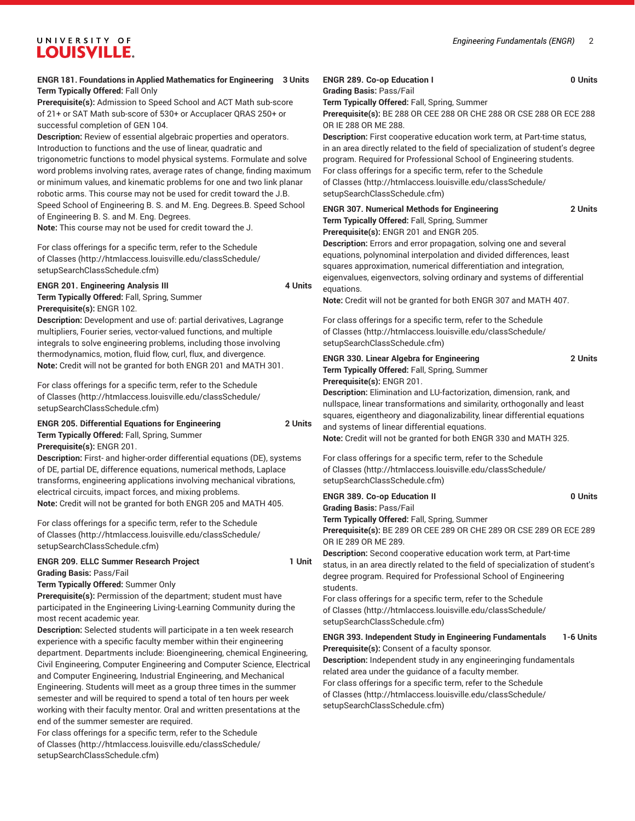# UNIVERSITY OF **LOUISVILLE.**

**ENGR 181. Foundations in Applied Mathematics for Engineering 3 Units Term Typically Offered:** Fall Only

**Prerequisite(s):** Admission to Speed School and ACT Math sub-score of 21+ or SAT Math sub-score of 530+ or Accuplacer QRAS 250+ or successful completion of GEN 104.

**Description:** Review of essential algebraic properties and operators. Introduction to functions and the use of linear, quadratic and trigonometric functions to model physical systems. Formulate and solve word problems involving rates, average rates of change, finding maximum or minimum values, and kinematic problems for one and two link planar robotic arms. This course may not be used for credit toward the J.B. Speed School of Engineering B. S. and M. Eng. Degrees.B. Speed School of Engineering B. S. and M. Eng. Degrees.

**Note:** This course may not be used for credit toward the J.

For class offerings for a specific term, refer to the [Schedule](http://htmlaccess.louisville.edu/classSchedule/setupSearchClassSchedule.cfm) [of Classes \(http://htmlaccess.louisville.edu/classSchedule/](http://htmlaccess.louisville.edu/classSchedule/setupSearchClassSchedule.cfm) [setupSearchClassSchedule.cfm\)](http://htmlaccess.louisville.edu/classSchedule/setupSearchClassSchedule.cfm)

# **ENGR 201. Engineering Analysis III** 4 Units **Term Typically Offered:** Fall, Spring, Summer **Prerequisite(s):** ENGR 102.

**Description:** Development and use of: partial derivatives, Lagrange multipliers, Fourier series, vector-valued functions, and multiple integrals to solve engineering problems, including those involving thermodynamics, motion, fluid flow, curl, flux, and divergence. **Note:** Credit will not be granted for both ENGR 201 and MATH 301.

For class offerings for a specific term, refer to the [Schedule](http://htmlaccess.louisville.edu/classSchedule/setupSearchClassSchedule.cfm) [of Classes \(http://htmlaccess.louisville.edu/classSchedule/](http://htmlaccess.louisville.edu/classSchedule/setupSearchClassSchedule.cfm) [setupSearchClassSchedule.cfm\)](http://htmlaccess.louisville.edu/classSchedule/setupSearchClassSchedule.cfm)

# **ENGR 205. Differential Equations for Engineering 2 Units Term Typically Offered:** Fall, Spring, Summer

**Prerequisite(s):** ENGR 201.

**Description:** First- and higher-order differential equations (DE), systems of DE, partial DE, difference equations, numerical methods, Laplace transforms, engineering applications involving mechanical vibrations, electrical circuits, impact forces, and mixing problems. **Note:** Credit will not be granted for both ENGR 205 and MATH 405.

For class offerings for a specific term, refer to the [Schedule](http://htmlaccess.louisville.edu/classSchedule/setupSearchClassSchedule.cfm) [of Classes \(http://htmlaccess.louisville.edu/classSchedule/](http://htmlaccess.louisville.edu/classSchedule/setupSearchClassSchedule.cfm) [setupSearchClassSchedule.cfm\)](http://htmlaccess.louisville.edu/classSchedule/setupSearchClassSchedule.cfm)

## **ENGR 209. ELLC Summer Research Project 1 Unit Grading Basis:** Pass/Fail

**Term Typically Offered:** Summer Only

**Prerequisite(s):** Permission of the department; student must have participated in the Engineering Living-Learning Community during the most recent academic year.

**Description:** Selected students will participate in a ten week research experience with a specific faculty member within their engineering department. Departments include: Bioengineering, chemical Engineering, Civil Engineering, Computer Engineering and Computer Science, Electrical and Computer Engineering, Industrial Engineering, and Mechanical Engineering. Students will meet as a group three times in the summer semester and will be required to spend a total of ten hours per week working with their faculty mentor. Oral and written presentations at the end of the summer semester are required.

For class offerings for a specific term, refer to the [Schedule](http://htmlaccess.louisville.edu/classSchedule/setupSearchClassSchedule.cfm) [of Classes \(http://htmlaccess.louisville.edu/classSchedule/](http://htmlaccess.louisville.edu/classSchedule/setupSearchClassSchedule.cfm) [setupSearchClassSchedule.cfm\)](http://htmlaccess.louisville.edu/classSchedule/setupSearchClassSchedule.cfm)

#### **ENGR 289. Co-op Education I 0 Units Grading Basis:** Pass/Fail

**Term Typically Offered:** Fall, Spring, Summer

**Prerequisite(s):** BE 288 OR CEE 288 OR CHE 288 OR CSE 288 OR ECE 288 OR IE 288 OR ME 288.

**Description:** First cooperative education work term, at Part-time status, in an area directly related to the field of specialization of student's degree program. Required for Professional School of Engineering students. For class offerings for a specific term, refer to the [Schedule](http://htmlaccess.louisville.edu/classSchedule/setupSearchClassSchedule.cfm) [of Classes](http://htmlaccess.louisville.edu/classSchedule/setupSearchClassSchedule.cfm) ([http://htmlaccess.louisville.edu/classSchedule/](http://htmlaccess.louisville.edu/classSchedule/setupSearchClassSchedule.cfm) [setupSearchClassSchedule.cfm\)](http://htmlaccess.louisville.edu/classSchedule/setupSearchClassSchedule.cfm)

# **ENGR 307. Numerical Methods for Engineering 2 Units Term Typically Offered:** Fall, Spring, Summer **Prerequisite(s):** ENGR 201 and ENGR 205.

**Description:** Errors and error propagation, solving one and several equations, polynominal interpolation and divided differences, least squares approximation, numerical differentiation and integration, eigenvalues, eigenvectors, solving ordinary and systems of differential equations.

**Note:** Credit will not be granted for both ENGR 307 and MATH 407.

For class offerings for a specific term, refer to the [Schedule](http://htmlaccess.louisville.edu/classSchedule/setupSearchClassSchedule.cfm) [of Classes](http://htmlaccess.louisville.edu/classSchedule/setupSearchClassSchedule.cfm) ([http://htmlaccess.louisville.edu/classSchedule/](http://htmlaccess.louisville.edu/classSchedule/setupSearchClassSchedule.cfm) [setupSearchClassSchedule.cfm\)](http://htmlaccess.louisville.edu/classSchedule/setupSearchClassSchedule.cfm)

# **ENGR 330. Linear Algebra for Engineering 2 Units Term Typically Offered:** Fall, Spring, Summer **Prerequisite(s):** ENGR 201.

**Description:** Elimination and LU-factorization, dimension, rank, and nullspace, linear transformations and similarity, orthogonally and least squares, eigentheory and diagonalizability, linear differential equations and systems of linear differential equations.

**Note:** Credit will not be granted for both ENGR 330 and MATH 325.

For class offerings for a specific term, refer to the [Schedule](http://htmlaccess.louisville.edu/classSchedule/setupSearchClassSchedule.cfm) [of Classes](http://htmlaccess.louisville.edu/classSchedule/setupSearchClassSchedule.cfm) ([http://htmlaccess.louisville.edu/classSchedule/](http://htmlaccess.louisville.edu/classSchedule/setupSearchClassSchedule.cfm) [setupSearchClassSchedule.cfm\)](http://htmlaccess.louisville.edu/classSchedule/setupSearchClassSchedule.cfm)

# **ENGR 389. Co-op Education II 0 Units**

**Grading Basis:** Pass/Fail

**Term Typically Offered:** Fall, Spring, Summer **Prerequisite(s):** BE 289 OR CEE 289 OR CHE 289 OR CSE 289 OR ECE 289 OR IE 289 OR ME 289.

**Description:** Second cooperative education work term, at Part-time status, in an area directly related to the field of specialization of student's degree program. Required for Professional School of Engineering students.

For class offerings for a specific term, refer to the [Schedule](http://htmlaccess.louisville.edu/classSchedule/setupSearchClassSchedule.cfm) [of Classes](http://htmlaccess.louisville.edu/classSchedule/setupSearchClassSchedule.cfm) ([http://htmlaccess.louisville.edu/classSchedule/](http://htmlaccess.louisville.edu/classSchedule/setupSearchClassSchedule.cfm) [setupSearchClassSchedule.cfm\)](http://htmlaccess.louisville.edu/classSchedule/setupSearchClassSchedule.cfm)

# **ENGR 393. Independent Study in Engineering Fundamentals 1-6 Units Prerequisite(s):** Consent of a faculty sponsor.

**Description:** Independent study in any engineeringing fundamentals related area under the guidance of a faculty member. For class offerings for a specific term, refer to the [Schedule](http://htmlaccess.louisville.edu/classSchedule/setupSearchClassSchedule.cfm) [of Classes](http://htmlaccess.louisville.edu/classSchedule/setupSearchClassSchedule.cfm) ([http://htmlaccess.louisville.edu/classSchedule/](http://htmlaccess.louisville.edu/classSchedule/setupSearchClassSchedule.cfm) [setupSearchClassSchedule.cfm\)](http://htmlaccess.louisville.edu/classSchedule/setupSearchClassSchedule.cfm)